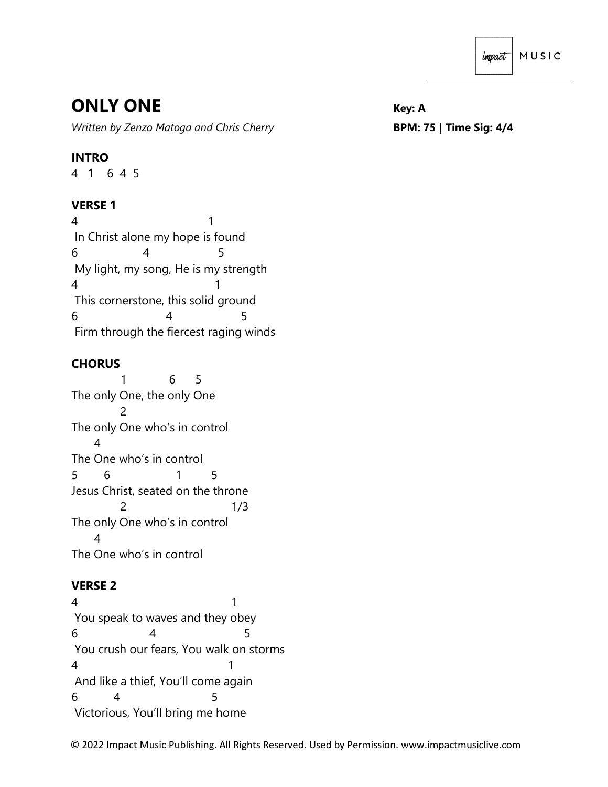# **ONLY ONE** *Key: A*

*Written by Zenzo Matoga and Chris Cherry* **BPM: 75 | Time Sig: 4/4**

## **INTRO**

4 1 6 4 5

## **VERSE 1**

4 1 In Christ alone my hope is found 6 4 5 My light, my song, He is my strength 4 1 This cornerstone, this solid ground 6 4 5 Firm through the fiercest raging winds

### **CHORUS**

 1 6 5 The only One, the only One 2 The only One who's in control 4 The One who's in control 5 6 1 5 Jesus Christ, seated on the throne 2 1/3 The only One who's in control 4 The One who's in control

## **VERSE 2**

4 1 You speak to waves and they obey 6 4 5 You crush our fears, You walk on storms 4 1 And like a thief, You'll come again 6 4 5 Victorious, You'll bring me home